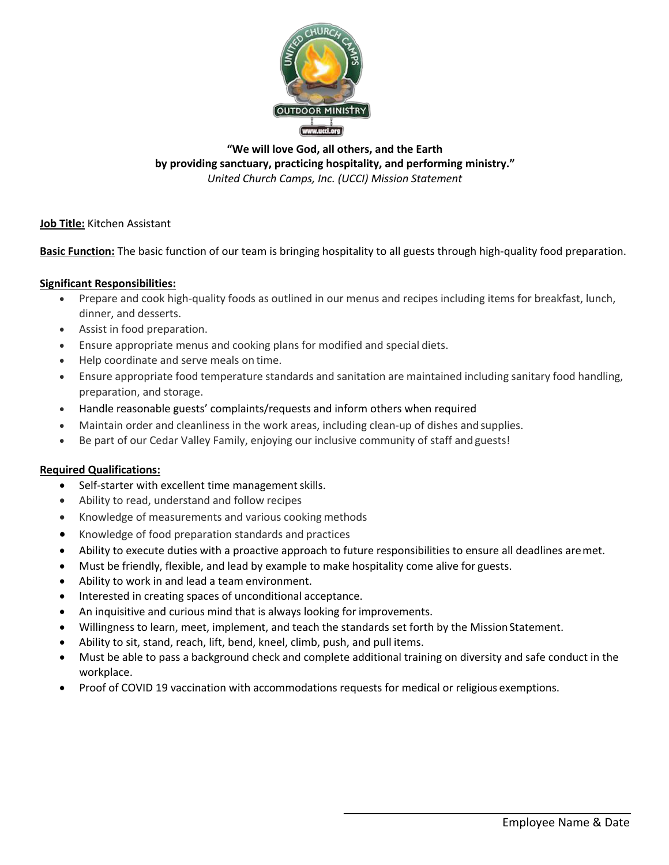

**"We will love God, all others, and the Earth by providing sanctuary, practicing hospitality, and performing ministry."** *United Church Camps, Inc. (UCCI) Mission Statement*

## **Job Title:** Kitchen Assistant

**Basic Function:** The basic function of our team is bringing hospitality to all guests through high-quality food preparation.

## **Significant Responsibilities:**

- Prepare and cook high-quality foods as outlined in our menus and recipes including items for breakfast, lunch, dinner, and desserts.
- Assist in food preparation.
- Ensure appropriate menus and cooking plans for modified and special diets.
- Help coordinate and serve meals on time.
- Ensure appropriate food temperature standards and sanitation are maintained including sanitary food handling, preparation, and storage.
- Handle reasonable guests' complaints/requests and inform others when required
- Maintain order and cleanliness in the work areas, including clean-up of dishes andsupplies.
- Be part of our Cedar Valley Family, enjoying our inclusive community of staff andguests!

## **Required Qualifications:**

- Self-starter with excellent time management skills.
- Ability to read, understand and follow recipes
- Knowledge of measurements and various cooking methods
- Knowledge of food preparation standards and practices
- Ability to execute duties with a proactive approach to future responsibilities to ensure all deadlines aremet.
- Must be friendly, flexible, and lead by example to make hospitality come alive for guests.
- Ability to work in and lead a team environment.
- Interested in creating spaces of unconditional acceptance.
- An inquisitive and curious mind that is always looking for improvements.
- Willingness to learn, meet, implement, and teach the standards set forth by the Mission Statement.
- Ability to sit, stand, reach, lift, bend, kneel, climb, push, and pull items.
- Must be able to pass a background check and complete additional training on diversity and safe conduct in the workplace.
- Proof of COVID 19 vaccination with accommodations requests for medical or religious exemptions.